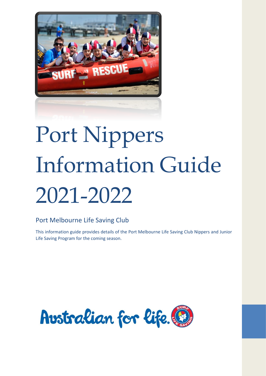

# Port Nippers Information Guide 2021-2022

## Port Melbourne Life Saving Club

This information guide provides details of the Port Melbourne Life Saving Club Nippers and Junior Life Saving Program for the coming season.

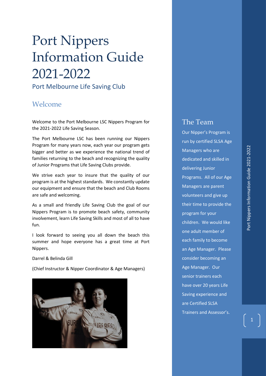## Port Nippers Information Guide 2021-2022

Port Melbourne Life Saving Club

## <span id="page-1-0"></span>Welcome

Welcome to the Port Melbourne LSC Nippers Program for the 2021-2022 Life Saving Season.

The Port Melbourne LSC has been running our Nippers Program for many years now, each year our program gets bigger and better as we experience the national trend of families returning to the beach and recognizing the quality of Junior Programs that Life Saving Clubs provide.

We strive each year to insure that the quality of our program is at the highest standards. We constantly update our equipment and ensure that the beach and Club Rooms are safe and welcoming.

As a small and friendly Life Saving Club the goal of our Nippers Program is to promote beach safety, community involvement, learn Life Saving Skills and most of all to have fun.

I look forward to seeing you all down the beach this summer and hope everyone has a great time at Port Nippers.

Darrel & Belinda Gill

(Chief Instructor & Nipper Coordinator & Age Managers)



## The Team

Our Nipper's Program is run by certified SLSA Age Managers who are dedicated and skilled in delivering Junior Programs. All of our Age Managers are parent volunteers and give up their time to provide the program for your children. We would like one adult member of each family to become an Age Manager. Please consider becoming an Age Manager. Our senior trainers each have over 20 years Life Saving experience and are Certified SLSA Trainers and Assessor's.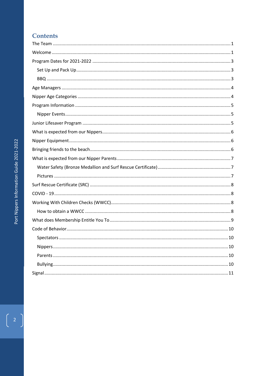## **Contents**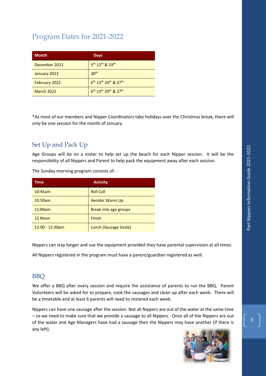<span id="page-3-0"></span>

| <b>Month</b>      | <b>Days</b>                                                          |
|-------------------|----------------------------------------------------------------------|
| December 2021     | 5 <sup>th</sup> 12 <sup>th</sup> & 19 <sup>th</sup>                  |
| January 2022      | 30 <sup>th</sup>                                                     |
| February 2022     | 6 <sup>th</sup> 13 <sup>th</sup> 20 <sup>th</sup> & 27 <sup>th</sup> |
| <b>March 2022</b> | $6^{th}$ 13 <sup>th</sup> 20 <sup>th</sup> & 27 <sup>th</sup>        |

\*As most of our members and Nipper Coordinators take holidays over the Christmas break, there will only be one session for the month of January.

## <span id="page-3-1"></span>Set Up and Pack Up

Age Groups will be on a roster to help set up the beach for each Nipper session. It will be the responsibility of all Nippers and Parent to help pack the equipment away after each session.

The Sunday morning program consists of: -

| <b>Time</b>       | <b>Activity</b>        |
|-------------------|------------------------|
| 10:45am           | <b>Roll Call</b>       |
| 10.50am           | <b>Aerobic Warm Up</b> |
| 11:00am           | Break into age groups  |
| 12 Noon           | Finish                 |
| $12.00 - 12:30pm$ | Lunch (Sausage Sizzle) |

Nippers can stay longer and use the equipment provided they have parental supervision at all times.

All Nippers registered in the program must have a parent/guardian registered as well.

## <span id="page-3-2"></span>**BBO**

We offer a BBQ after every session and require the assistance of parents to run the BBQ. Parent Volunteers will be asked for to prepare, cook the sausages and clean up after each week. There will be a timetable and at least 6 parents will need to rostered each week.

Nippers can have one sausage after the session. Not all Nippers are out of the water at the same time – so we need to make sure that we provide a sausage to all Nippers. Once all of the Nippers are out of the water and Age Managers have had a sausage then the Nippers may have another (if there is any left).

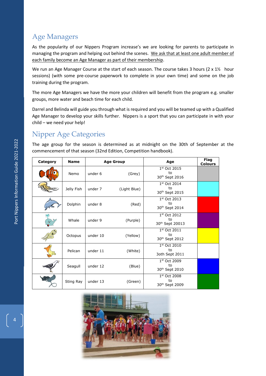## <span id="page-4-0"></span>Age Managers

As the popularity of our Nippers Program increase's we are looking for parents to participate in managing the program and helping out behind the scenes. We ask that at least one adult member of each family become an Age Manager as part of their membership.

We run an Age Manager Course at the start of each season. The course takes 3 hours (2 x 1<sup>1/2</sup> hour sessions) (with some pre-course paperwork to complete in your own time) and some on the job training during the program.

The more Age Managers we have the more your children will benefit from the program e.g. smaller groups, more water and beach time for each child.

Darrel and Belinda will guide you through what is required and you will be teamed up with a Qualified Age Manager to develop your skills further. Nippers is a sport that you can participate in with your child – we need your help!

## <span id="page-4-1"></span>Nipper Age Categories

The age group for the season is determined as at midnight on the 30th of September at the commencement of that season (32nd Edition, Competition handbook).

| Category | <b>Name</b> | <b>Age Group</b> |              | Age                                                | Flag<br><b>Colours</b> |
|----------|-------------|------------------|--------------|----------------------------------------------------|------------------------|
|          | Nemo        | under 6          | (Grey)       | 1st Oct 2015<br>to<br>30 <sup>th</sup> Sept 2016   |                        |
|          | Jelly Fish  | under 7          | (Light Blue) | 1st Oct 2014<br>to<br>30 <sup>th</sup> Sept 2015   |                        |
|          | Dolphin     | under 8          | (Red)        | 1st Oct 2013<br>to<br>30 <sup>th</sup> Sept 2014   |                        |
|          | Whale       | under 9          | (Purple)     | 1st Oct 2012<br>to<br>30th Sept 20013              |                        |
|          | Octopus     | under 10         | (Yellow)     | $1st$ Oct 2011<br>to<br>30 <sup>th</sup> Sept 2012 |                        |
|          | Pelican     | under 11         | (White)      | 1st Oct 2010<br>to<br>3oth Sept 2011               |                        |
|          | Seagull     | under 12         | (Blue)       | 1st Oct 2009<br>to<br>30 <sup>th</sup> Sept 2010   |                        |
|          | Sting Ray   | under 13         | (Green)      | 1st Oct 2008<br>to<br>30 <sup>th</sup> Sept 2009   |                        |

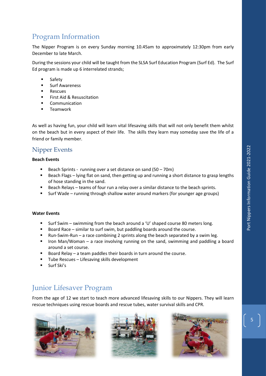## <span id="page-5-0"></span>Program Information

The Nipper Program is on every Sunday morning 10.45am to approximately 12:30pm from early December to late March.

During the sessions your child will be taught from the SLSA Surf Education Program (Surf Ed). The Surf Ed program is made up 6 interrelated strands;

- **Safety**
- **Surf Awareness**
- **Rescues**
- **First Aid & Resuscitation**
- **Communication**
- **Teamwork**

As well as having fun, your child will learn vital lifesaving skills that will not only benefit them whilst on the beach but in every aspect of their life. The skills they learn may someday save the life of a friend or family member.

## <span id="page-5-1"></span>Nipper Events

#### **Beach Events**

- Beach Sprints running over a set distance on sand  $(50 70m)$
- Beach Flags lying flat on sand, then getting up and running a short distance to grasp lengths of hose standing in the sand.
- Beach Relays teams of four run a relay over a similar distance to the beach sprints.
- **■** Surf Wade running through shallow water around markers (for younger age groups)

#### **Water Events**

- Surf Swim swimming from the beach around a 'U' shaped course 80 meters long.
- Board Race similar to surf swim, but paddling boards around the course.
- **E** Run-Swim-Run a race combining 2 sprints along the beach separated by a swim leg.
- Iron Man/Woman a race involving running on the sand, swimming and paddling a board around a set course.
- Board Relay a team paddles their boards in turn around the course.
- Tube Rescues Lifesaving skills development
- Surf Ski's

## <span id="page-5-2"></span>Junior Lifesaver Program

From the age of 12 we start to teach more advanced lifesaving skills to our Nippers. They will learn rescue techniques using rescue boards and rescue tubes, water survival skills and CPR.





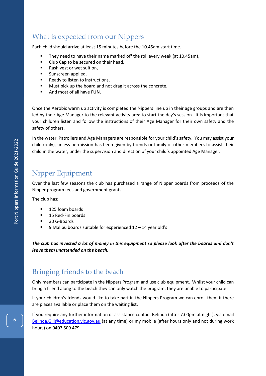## <span id="page-6-0"></span>What is expected from our Nippers

Each child should arrive at least 15 minutes before the 10.45am start time.

- They need to have their name marked off the roll every week (at 10.45am),
- Club Cap to be secured on their head,
- Rash vest or wet suit on,
- Sunscreen applied,
- Ready to listen to instructions,
- Must pick up the board and not drag it across the concrete,
- And most of all have **FUN.**

Once the Aerobic warm up activity is completed the Nippers line up in their age groups and are then led by their Age Manager to the relevant activity area to start the day's session. It is important that your children listen and follow the instructions of their Age Manager for their own safety and the safety of others.

In the water, Patrollers and Age Managers are responsible for your child's safety. You may assist your child (only), unless permission has been given by friends or family of other members to assist their child in the water, under the supervision and direction of your child's appointed Age Manager.

## <span id="page-6-1"></span>Nipper Equipment

Over the last few seasons the club has purchased a range of Nipper boards from proceeds of the Nipper program fees and government grants.

The club has;

- 125 foam boards
- 15 Red-Fin boards
- 30 G-Boards
- 9 Malibu boards suitable for experienced  $12 14$  year old's

*The club has invested a lot of money in this equipment so please look after the boards and don't leave them unattended on the beach.*

## <span id="page-6-2"></span>Bringing friends to the beach

Only members can participate in the Nippers Program and use club equipment. Whilst your child can bring a friend along to the beach they can only watch the program, they are unable to participate.

If your children's friends would like to take part in the Nippers Program we can enroll them if there are places available or place them on the waiting list.

If you require any further information or assistance contact Belinda (after 7.00pm at night), via email [Belinda.Gill@education.vic.gov.au](mailto:Belinda.Gill@education.vic.gov.au) (at any time) or my mobile (after hours only and not during work hours) on 0403 509 479.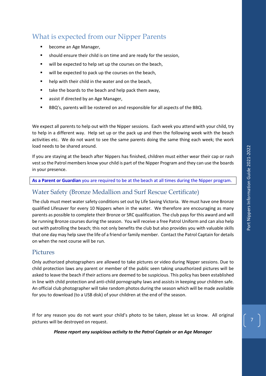## <span id="page-7-0"></span>What is expected from our Nipper Parents

- become an Age Manager,
- should ensure their child is on time and are ready for the session,
- will be expected to help set up the courses on the beach,
- will be expected to pack up the courses on the beach,
- help with their child in the water and on the beach,
- take the boards to the beach and help pack them away,
- assist if directed by an Age Manager,
- BBQ's, parents will be rostered on and responsible for all aspects of the BBQ.

We expect all parents to help out with the Nipper sessions. Each week you attend with your child, try to help in a different way. Help set up or the pack up and then the following week with the beach activities etc. We do not want to see the same parents doing the same thing each week; the work load needs to be shared around.

If you are staying at the beach after Nippers has finished, children must either wear their cap or rash vest so the Patrol members know your child is part of the Nipper Program and they can use the boards in your presence.

#### **As a Parent or Guardian** you are required to be at the beach at all times during the Nipper program.

## <span id="page-7-1"></span>Water Safety (Bronze Medallion and Surf Rescue Certificate)

The club must meet water safety conditions set out by Life Saving Victoria. We must have one Bronze qualified Lifesaver for every 10 Nippers when in the water. We therefore are encouraging as many parents as possible to complete their Bronze or SRC qualification. The club pays for this award and will be running Bronze courses during the season. You will receive a free Patrol Uniform and can also help out with patrolling the beach; this not only benefits the club but also provides you with valuable skills that one day may help save the life of a friend or family member. Contact the Patrol Captain for details on when the next course will be run.

#### <span id="page-7-2"></span>Pictures

Only authorized photographers are allowed to take pictures or video during Nipper sessions. Due to child protection laws any parent or member of the public seen taking unauthorized pictures will be asked to leave the beach if their actions are deemed to be suspicious. This policy has been established in line with child protection and anti-child pornography laws and assists in keeping your children safe. An official club photographer will take random photos during the season which will be made available for you to download (to a USB disk) of your children at the end of the season.

If for any reason you do not want your child's photo to be taken, please let us know. All original pictures will be destroyed on request.

*Please report any suspicious activity to the Patrol Captain or an Age Manager*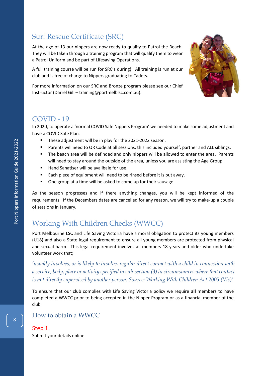## <span id="page-8-0"></span>Surf Rescue Certificate (SRC)

At the age of 13 our nippers are now ready to qualify to Patrol the Beach. They will be taken through a training program that will qualify them to wear a Patrol Uniform and be part of Lifesaving Operations.

A full training course will be run for SRC's during). All training is run at our club and is free of charge to Nippers graduating to Cadets.

For more information on our SRC and Bronze program please see our Chief Instructor (Darrel Gill – training@portmelblsc.com.au).



## <span id="page-8-1"></span>COVID - 19

In 2020, to operate a 'normal COVID Safe Nippers Program' we needed to make some adjustment and have a COVID Safe Plan.

- These adjustment will be in play for the 2021-2022 season.
- **■** Parents will need to QR Code at all sessions, this included yourself, partner and ALL siblings.
- The beach area will be definded and only nippers will be allowed to enter the area. Parents will need to stay around the outside of the area, unless you are assisting the Age Group.
- Hand Sanatiser will be avalibale for use.
- Each piece of equipment will need to be rinsed before it is put away.
- One group at a time will be asked to come up for their sausage.

As the season progresses and if there anything changes, you will be kept informed of the requirements. If the Decembers dates are cancelled for any reason, we will try to make-up a couple of sessions in January.

## <span id="page-8-2"></span>Working With Children Checks (WWCC)

Port Melbourne LSC and Life Saving Victoria have a moral obligation to protect its young members (U18) and also a State legal requirement to ensure all young members are protected from physical and sexual harm. This legal requirement involves all members 18 years and older who undertake volunteer work that;

*'usually involves, or is likely to involve, regular direct contact with a child in connection with a service, body, place or activity specified in sub-section (3) in circumstances where that contact is not directly supervised by another person. Source: Working With Children Act 2005 (Vic)'*

To ensure that our club complies with Life Saving Victoria policy we require **all** members to have completed a WWCC prior to being accepted in the Nipper Program or as a financial member of the club.

## <span id="page-8-3"></span>How to obtain a WWCC

#### Step 1.

8

Submit your details online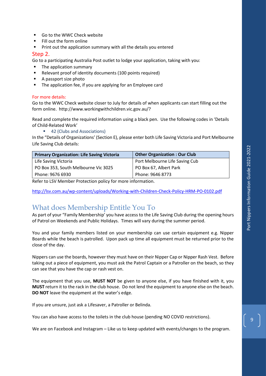- Go to the WWC Check website
- Fill out the form online
- Print out the application summary with all the details you entered

#### Step 2.

Go to a participating Australia Post outlet to lodge your application, taking with you:

- The application summary
- Relevant proof of identity documents (100 points required)
- A passport size photo
- The application fee, if you are applying for an Employee card

#### For more details:

Go to the WWC Check website closer to July for details of when applicants can start filling out the form online. http://www.workingwithchildren.vic.gov.au/?

Read and complete the required information using a black pen. Use the following codes in 'Details of Child-Related Work'

■ 42 (Clubs and Associations)

In the "Details of Organizations' (Section E), please enter both Life Saving Victoria and Port Melbourne Life Saving Club details:

| <b>Primary Organization: Life Saving Victoria</b> | <b>Other Organization: Our Club</b> |
|---------------------------------------------------|-------------------------------------|
| Life Saving Victoria                              | Port Melbourne Life Saving Cub      |
| PO Box 353, South Melbourne Vic 3025              | PO Box 67, Albert Park              |
| Phone: 9676 6930                                  | Phone: 9646 8773                    |

Refer to LSV Member Protection policy for more information.

<http://lsv.com.au/wp-content/uploads/Working-with-Children-Check-Policy-HRM-PO-0102.pdf>

## <span id="page-9-0"></span>What does Membership Entitle You To

As part of your "Family Membership' you have access to the Life Saving Club during the opening hours of Patrol on Weekends and Public Holidays. Times will vary during the summer period.

You and your family members listed on your membership can use certain equipment e.g. Nipper Boards while the beach is patrolled. Upon pack up time all equipment must be returned prior to the close of the day.

Nippers can use the boards, however they must have on their Nipper Cap or Nipper Rash Vest. Before taking out a piece of equipment, you must ask the Patrol Captain or a Patroller on the beach, so they can see that you have the cap or rash vest on.

The equipment that you use, **MUST NOT** be given to anyone else, if you have finished with it, you **MUST** return it to the rack in the club house. Do not lend the equipment to anyone else on the beach. **DO NOT** leave the equipment at the water's edge.

If you are unsure, just ask a Lifesaver, a Patroller or Belinda.

You can also have access to the toilets in the club house (pending NO COVID restrictions).

We are on Facebook and Instagram – Like us to keep updated with events/changes to the program.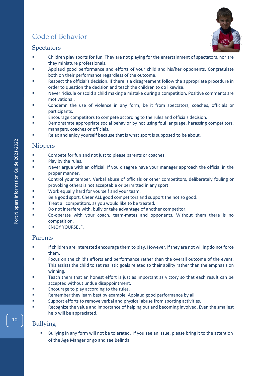## <span id="page-10-0"></span>Code of Behavior



## <span id="page-10-1"></span>**Spectators**

- Children play sports for fun. They are not playing for the entertainment of spectators, nor are they miniature professionals.
- Applaud good performance and efforts of your child and his/her opponents. Congratulate both on their performance regardless of the outcome.
- Respect the official's decision. If there is a disagreement follow the appropriate procedure in order to question the decision and teach the children to do likewise.
- Never ridicule or scold a child making a mistake during a competition. Positive comments are motivational.
- Condemn the use of violence in any form, be it from spectators, coaches, officials or participants.
- Encourage competitors to compete according to the rules and officials decision.
- Demonstrate appropriate social behavior by not using foul language, harassing competitors, managers, coaches or officials.
- Relax and enjoy yourself because that is what sport is supposed to be about.

#### <span id="page-10-2"></span>Nippers

- Compete for fun and not just to please parents or coaches.
- Play by the rules.
- Never argue with an official. If you disagree have your manager approach the official in the proper manner.
- Control your temper. Verbal abuse of officials or other competitors, deliberately fouling or provoking others is not acceptable or permitted in any sport.
- Work equally hard for yourself and your team.
- Be a good sport. Cheer ALL good competitors and support the not so good.
- Treat all competitors, as you would like to be treated.
- Do not interfere with, bully or take advantage of another competitor.
- Co-operate with your coach, team-mates and opponents. Without them there is no competition.
- **ENJOY YOURSELF.**

#### <span id="page-10-3"></span>Parents

- If children are interested encourage them to play. However, if they are not willing do not force them.
- Focus on the child's efforts and performance rather than the overall outcome of the event. This assists the child to set realistic goals related to their ability rather than the emphasis on winning.
- Teach them that an honest effort is just as important as victory so that each result can be accepted without undue disappointment.
- Encourage to play according to the rules.
- Remember they learn best by example. Applaud good performance by all.
- Support efforts to remove verbal and physical abuse from sporting activities.
- Recognize the value and importance of helping out and becoming involved. Even the smallest help will be appreciated.

## <span id="page-10-4"></span>Bullying

Bullying in any form will not be tolerated. If you see an issue, please bring it to the attention of the Age Manger or go and see Belinda.

10